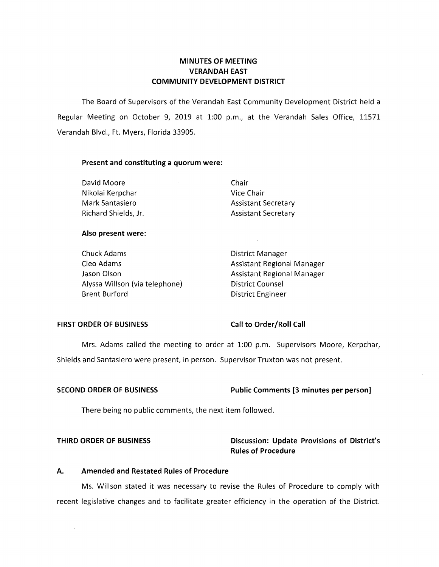# **MINUTES OF MEETING VERANDAH EAST COMMUNITY DEVELOPMENT DISTRICT**

The Board of Supervisors of the Verandah East Community Development District held a Regular Meeting on October 9, 2019 at 1:00 p.m., at the Verandah Sales Office, 11571 Verandah Blvd., Ft. Myers, Florida 33905.

## **Present and constituting a quorum were:**

David Moore **Chair** Nikolai Kerpchar Vice Chair

Mark Santasiero **Assistant Secretary** Richard Shields, Jr. Assistant Secretary

## **Also present were:**

Chuck Adams **District Manager** Cleo Adams **Assistant Regional Manager** Assistant Regional Manager Jason Olson **Assistant Regional Manager** Assistant Regional Manager Alyssa Willson (via telephone) District Counsel Brent Burford District Engineer

## FIRST ORDER OF BUSINESS Call to Order/Roll Call

Mrs. Adams called the meeting to order at 1:00 p.m. Supervisors Moore, Kerpchar,

Shields and Santasiero were present, in person. Supervisor Truxton was not present.

# **SECOND ORDER OF BUSINESS Public Comments [3 minutes per person]**

There being no public comments, the next item followed.

# **THIRD ORDER OF BUSINESS Discussion: Update Provisions of District's Rules of Procedure**

## **A. Amended and Restated Rules of Procedure**

Ms. Willson stated it was necessary to revise the Rules of Procedure to comply with recent legislative changes and to facilitate greater efficiency in the operation of the District.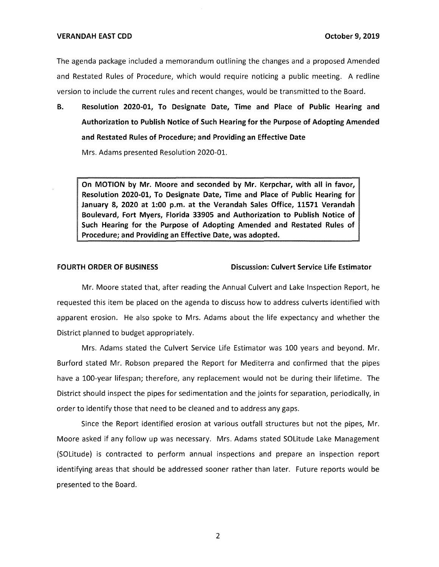The agenda package included a memorandum outlining the changes and a proposed Amended and Restated Rules of Procedure, which would require noticing a public meeting. A redline version to include the current rules and recent changes, would be transmitted to the Board.

**B. Resolution 2020-01, To Designate Date, Time and Place of Public Hearing and Authorization to Publish Notice of Such Hearing for the Purpose of Adopting Amended and Restated Rules of Procedure; and Providing an Effective Date** 

Mrs. Adams presented Resolution 2020-01.

**On MOTION by Mr. Moore and seconded by Mr. Kerpchar, with all in favor, Resolution 2020-01, To Designate Date, Time and Place of Public Hearing for January 8, 2020 at 1:00 p.m. at the Verandah Sales Office, 11571 Verandah Boulevard, Fort Myers, Florida 33905 and Authorization to Publish Notice of Such Hearing for the Purpose of Adopting Amended and Restated Rules of Procedure; and Providing an Effective Date, was adopted.** 

## **FOURTH ORDER OF BUSINESS Discussion: Culvert Service Life Estimator**

Mr. Moore stated that, after reading the Anhual Culvert and Lake Inspection Report, he requested this item be placed on the agenda to discuss how to address culverts identified with apparent erosion. He also spoke to Mrs. Adams about the life expectancy and whether the District planned to budget appropriately.

Mrs. Adams stated the Culvert Service Life Estimator was 100 years and beyond. Mr. Burford stated Mr. Robson prepared the Report for Mediterra and confirmed that the pipes have a 100-year lifespan; therefore, any replacement would not be during their lifetime. The District should inspect the pipes for sedimentation and the joints for separation, periodically, in order to identify those that need to be cleaned and to address any gaps.

Since the Report identified erosion at various outfall structures but not the pipes, Mr. Moore asked if any follow up was necessary. Mrs. Adams stated SOLitude Lake Management (SOLitude) is contracted to perform annual inspections and prepare an inspection report identifying areas that should be addressed sooner rather than later. Future reports would be presented to the Board.

2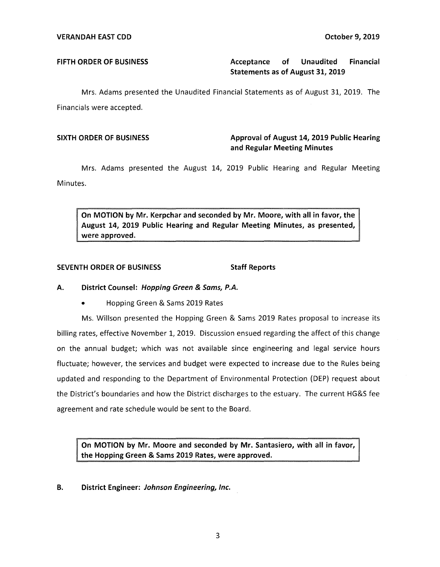# **FIFTH ORDER OF BUSINESS Acceptance of Unaudited Financial Statements as of August 31, 2019**

Mrs. Adams presented the Unaudited Financial Statements as of August 31, 2019. The Financials were accepted.

# **SIXTH ORDER OF BUSINESS Approval of August 14, 2019 Public Hearing and Regular Meeting Minutes**

Mrs. Adams presented the August 14, 2019 Public Hearing and Regular Meeting Minutes.

**On MOTION by Mr. Kerpchar and seconded by Mr. Moore, with all in favor, the August 14, 2019 Public Hearing and Regular Meeting Minutes, as presented, were approved.** 

# **SEVENTH ORDER OF BUSINESS STATES STAFF REPORTS**

# **A. District Counsel: Hopping Green & Sams, P.A.**

• Hopping Green & Sams 2019 Rates

Ms. Willson presented the Hopping Green & Sams 2019 Rates proposal to increase its billing rates, effective November 1, 2019. Discussion ensued regarding the affect of this change on the annual budget; which was not available since engineering and legal service hours fluctuate; however, the services and budget were expected to increase due to the Rules being updated and responding to the Department of Environmental Protection (DEP) request about the District's boundaries and how the District discharges to the estuary. The current HG&S fee agreement and rate schedule would be sent to the Board.

**On MOTION by Mr. Moore and seconded by Mr. Santasiero, with all in favor, the Hopping Green & Sams 2019 Rates, were approved.** 

**B. District Engineer: Johnson Engineering, Inc.**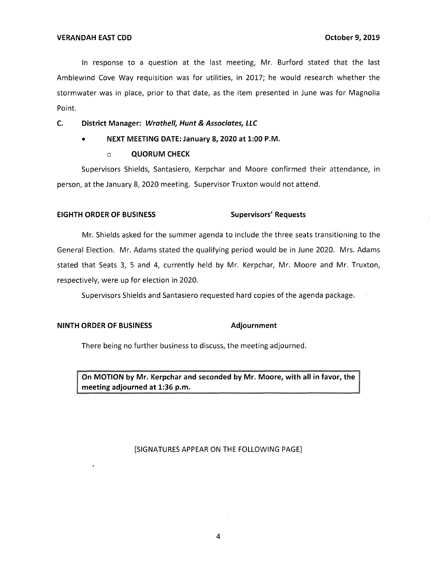In response to a question at the last meeting, Mr. Burford stated that the last Amblewind Cove Way requisition was for utilities, in 2017; he would research whether the stormwater was in place, prior to that date, as the item presented in June was for Magnolia Point.

# **C. District Manager: Wrathe/1, Hunt & Associates, LLC**

• **NEXT MEETING DATE: January 8, 2020 at 1:00 P.M.** 

### o **QUORUM CHECK**

Supervisors Shields, Santasiero, Kerpchar and Moore confirmed their attendance, in person, at the January 8, 2020 meeting. Supervisor Truxton would not attend.

## **EIGHTH ORDER OF BUSINESS Supervisors' Requests**

Mr. Shields asked for the summer agenda to include the three seats transitioning to the General Election. Mr. Adams stated the qualifying period would be in June 2020. Mrs. Adams stated that Seats 3, 5 and 4, currently held by Mr. Kerpchar, Mr. Moore and Mr. Truxton, respectively, were up for election in 2020.

Supervisors Shields and Santasiero requested hard copies of the agenda package.

### **NINTH ORDER OF BUSINESS Adjournment**

There being no further business to discuss, the meeting adjourned.

**On MOTION by Mr. Kerpchar and seconded by Mr. Moore, with all in favor, the eeting adjourned at 1:36 p.m.** 

### [SIGNATURES APPEAR ON THE FOLLOWING PAGE]